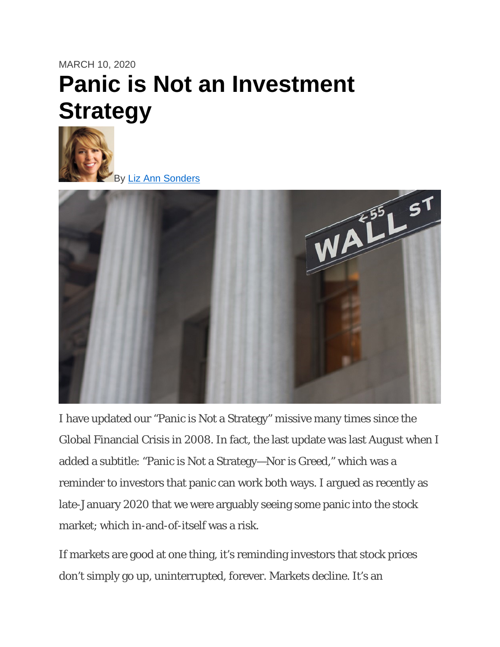# MARCH 10, 2020 **Panic is Not an Investment Strategy**



By [Liz Ann Sonders](https://www.schwab.com/resource-center/insights/author/liz-ann-sonders)



I have updated our "Panic is Not a Strategy" missive many times since the Global Financial Crisis in 2008. In fact, the last update was last August when I added a subtitle: "Panic is Not a Strategy—Nor is Greed," which was a reminder to investors that panic can work both ways. I argued as recently as late-January 2020 that we were arguably seeing some panic into the stock market; which in-and-of-itself was a risk.

If markets are good at one thing, it's reminding investors that stock prices don't simply go up, uninterrupted, forever. Markets decline. It's an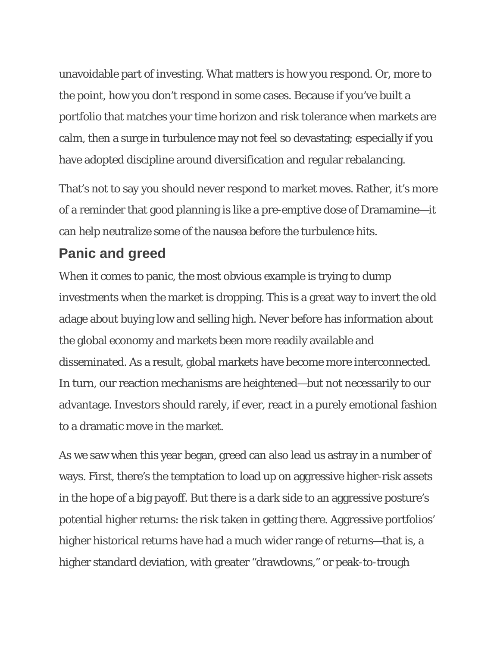unavoidable part of investing. What matters is how you respond. Or, more to the point, how you don't respond in some cases. Because if you've built a portfolio that matches your time horizon and risk tolerance when markets are calm, then a surge in turbulence may not feel so devastating; especially if you have adopted discipline around diversification and regular rebalancing.

That's not to say you should never respond to market moves. Rather, it's more of a reminder that good planning is like a pre-emptive dose of Dramamine—it can help neutralize some of the nausea before the turbulence hits.

## **Panic and greed**

When it comes to panic, the most obvious example is trying to dump investments when the market is dropping. This is a great way to invert the old adage about buying low and selling high. Never before has information about the global economy and markets been more readily available and disseminated. As a result, global markets have become more interconnected. In turn, our reaction mechanisms are heightened—but not necessarily to our advantage. Investors should rarely, if ever, react in a purely emotional fashion to a dramatic move in the market.

As we saw when this year began, greed can also lead us astray in a number of ways. First, there's the temptation to load up on aggressive higher-risk assets in the hope of a big payoff. But there is a dark side to an aggressive posture's potential higher returns: the risk taken in getting there. Aggressive portfolios' higher historical returns have had a much wider range of returns—that is, a higher standard deviation, with greater "drawdowns," or peak-to-trough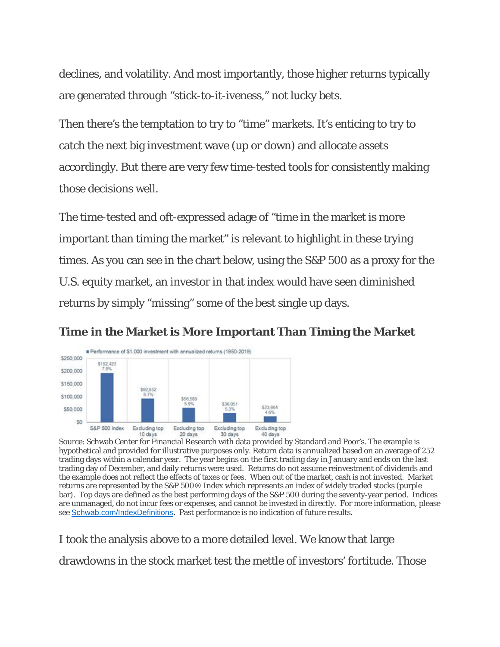declines, and volatility. And most importantly, those higher returns typically are generated through "stick-to-it-iveness," not lucky bets.

Then there's the temptation to try to "time" markets. It's enticing to try to catch the next big investment wave (up or down) and allocate assets accordingly. But there are very few time-tested tools for consistently making those decisions well.

The time-tested and oft-expressed adage of "time in the market is more important than timing the market" is relevant to highlight in these trying times. As you can see in the chart below, using the S&P 500 as a proxy for the U.S. equity market, an investor in that index would have seen diminished returns by simply "missing" some of the best single up days.

#### **Time in the Market is More Important Than Timing the Market**



Source: Schwab Center for Financial Research with data provided by Standard and Poor's. The example is hypothetical and provided for illustrative purposes only. Return data is annualized based on an average of 252 trading days within a calendar year. The year begins on the first trading day in January and ends on the last trading day of December, and daily returns were used. Returns do not assume reinvestment of dividends and the example does not reflect the effects of taxes or fees. When out of the market, cash is not invested. Market returns are represented by the S&P 500® Index which represents an index of widely traded stocks (purple bar). Top days are defined as the best performing days of the S&P 500 during the seventy-year period. Indices are unmanaged, do not incur fees or expenses, and cannot be invested in directly. For more information, please see [Schwab.com/IndexDefinitions](https://www.schwab.com/public/file/P-11018919). Past performance is no indication of future results.

I took the analysis above to a more detailed level. We know that large drawdowns in the stock market test the mettle of investors' fortitude. Those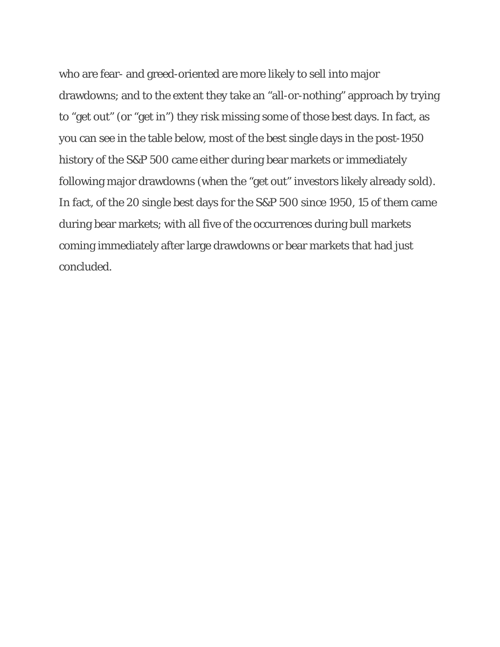who are fear- and greed-oriented are more likely to sell into major drawdowns; and to the extent they take an "all-or-nothing" approach by trying to "get out" (or "get in") they risk missing some of those best days. In fact, as you can see in the table below, most of the best single days in the post-1950 history of the S&P 500 came either during bear markets or immediately following major drawdowns (when the "get out" investors likely already sold). In fact, of the 20 single best days for the S&P 500 since 1950, 15 of them came during bear markets; with all five of the occurrences during bull markets coming immediately after large drawdowns or bear markets that had just concluded.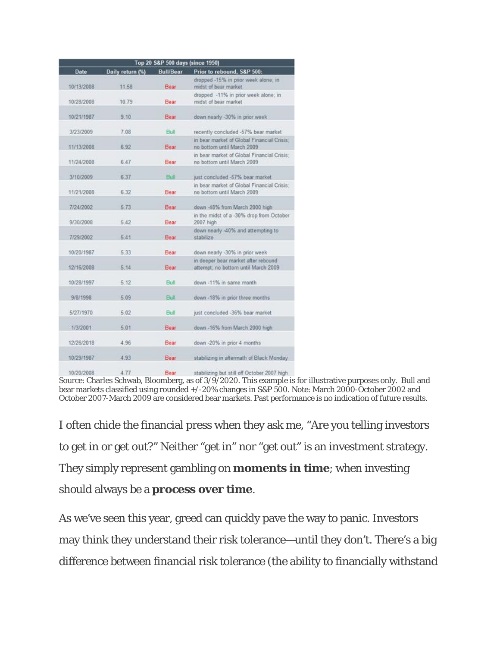| Top 20 S&P 500 days (since 1950) |                  |                  |                                                                            |
|----------------------------------|------------------|------------------|----------------------------------------------------------------------------|
| <b>Date</b>                      | Daily return (%) | <b>Bull/Bear</b> | Prior to rebound, S&P 500:                                                 |
| 10/13/2008                       | 11.58            | Bear             | dropped -15% in prior week alone; in<br>midst of bear market.              |
| 10/28/2008                       | 10.79            | Bear             | dropped -11% in prior week alone; in<br>midst of bear market               |
| 10/21/1987                       | 9.10             | Bear             | down nearly -30% in prior week                                             |
| 3/23/2009                        | 7.08             | Bull             | recently concluded -57% bear market                                        |
| 11/13/2008                       | 6.92             | Bear             | in bear market of Global Financial Crisis;<br>no bottom until March 2009   |
| 11/24/2008                       | 6.47             | Bear             | in bear market of Global Financial Crisis:<br>no bottom until March 2009   |
| 3/10/2009                        | 6.37             | Bull             | just concluded -57% bear market                                            |
| 11/21/2008                       | 6.32             | Bear             | in bear market of Global Financial Crisis:<br>no bottom until March 2009   |
| 7/24/2002                        | 5.73             | Bear             | down -48% from March 2000 high                                             |
| 9/30/2008                        | 5.42             | Bear             | in the midst of a -30% drop from October<br>2007 high                      |
| 7/29/2002                        | 5.41             | Bear             | down nearly -40% and attempting to<br>stabilize                            |
| 10/20/1987                       | 5.33             | Bear             | down nearly -30% in prior week                                             |
| 12/16/2008                       | 5:14             | Bear             | in deeper bear market after rebound<br>attempt; no bottom until March 2009 |
| 10/28/1997                       | 5:12             | Bull             | down -11% in same month                                                    |
| 9/8/1998                         | 5.09             | Bull             | down -18% in prior three months                                            |
| 5/27/1970                        | 5.02             | <b>Bull</b>      | just concluded -36% bear market                                            |
| 1/3/2001                         | 5.01             | Bear             | down -16% from March 2000 high                                             |
| 12/26/2018                       | 4.96             | Bear             | down -20% in prior 4 months                                                |
| 10/29/1987                       | 4.93             | Bear             | stabilizing in aftermath of Black Monday                                   |
|                                  |                  |                  |                                                                            |

10/20/2008 4.77 Bear stabilizing but still off October 2007 high Source: Charles Schwab, Bloomberg, as of 3/9/2020. This example is for illustrative purposes only. Bull and bear markets classified using rounded +/-20% changes in S&P 500. Note: March 2000-October 2002 and October 2007-March 2009 are considered bear markets. Past performance is no indication of future results.

I often chide the financial press when they ask me, "Are you telling investors to get in or get out?" Neither "get in" nor "get out" is an investment strategy. They simply represent gambling on **moments in time**; when investing should always be a **process over time**.

As we've seen this year, greed can quickly pave the way to panic. Investors may think they understand their risk tolerance—until they don't. There's a big difference between financial risk tolerance (the ability to financially withstand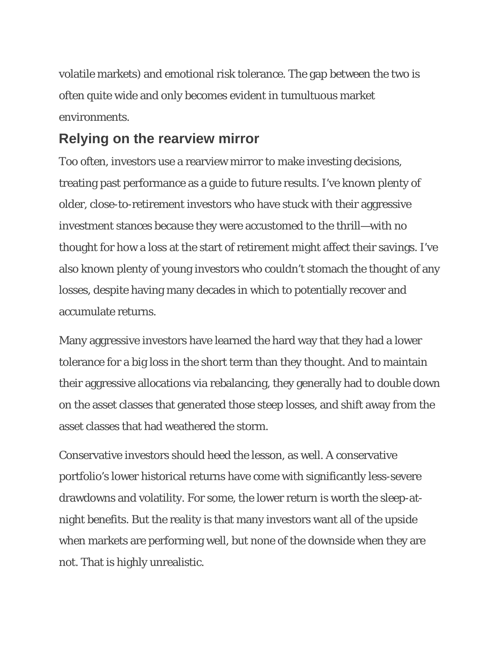volatile markets) and emotional risk tolerance. The gap between the two is often quite wide and only becomes evident in tumultuous market environments.

## **Relying on the rearview mirror**

Too often, investors use a rearview mirror to make investing decisions, treating past performance as a guide to future results. I've known plenty of older, close-to-retirement investors who have stuck with their aggressive investment stances because they were accustomed to the thrill—with no thought for how a loss at the start of retirement might affect their savings. I've also known plenty of young investors who couldn't stomach the thought of any losses, despite having many decades in which to potentially recover and accumulate returns.

Many aggressive investors have learned the hard way that they had a lower tolerance for a big loss in the short term than they thought. And to maintain their aggressive allocations via rebalancing, they generally had to double down on the asset classes that generated those steep losses, and shift away from the asset classes that had weathered the storm.

Conservative investors should heed the lesson, as well. A conservative portfolio's lower historical returns have come with significantly less-severe drawdowns and volatility. For some, the lower return is worth the sleep-atnight benefits. But the reality is that many investors want all of the upside when markets are performing well, but none of the downside when they are not. That is highly unrealistic.